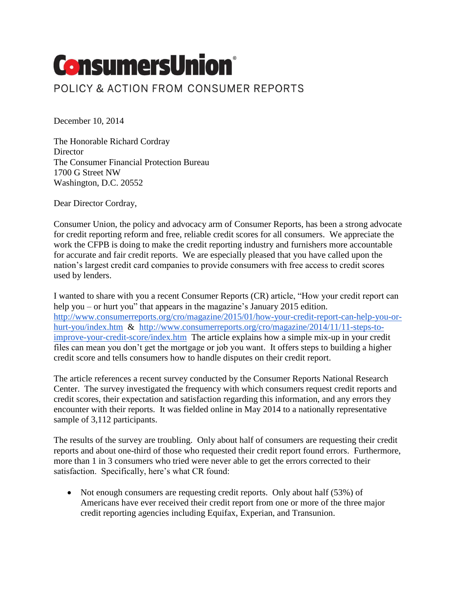## **ConsumersUnion**® POLICY & ACTION FROM CONSUMER REPORTS

December 10, 2014

The Honorable Richard Cordray **Director** The Consumer Financial Protection Bureau 1700 G Street NW Washington, D.C. 20552

Dear Director Cordray,

Consumer Union, the policy and advocacy arm of Consumer Reports, has been a strong advocate for credit reporting reform and free, reliable credit scores for all consumers. We appreciate the work the CFPB is doing to make the credit reporting industry and furnishers more accountable for accurate and fair credit reports. We are especially pleased that you have called upon the nation's largest credit card companies to provide consumers with free access to credit scores used by lenders.

I wanted to share with you a recent Consumer Reports (CR) article, "How your credit report can help you – or hurt you" that appears in the magazine's January 2015 edition. [http://www.consumerreports.org/cro/magazine/2015/01/how-your-credit-report-can-help-you-or](http://www.consumerreports.org/cro/magazine/2015/01/how-your-credit-report-can-help-you-or-hurt-you/index.htm)[hurt-you/index.htm](http://www.consumerreports.org/cro/magazine/2015/01/how-your-credit-report-can-help-you-or-hurt-you/index.htm) & [http://www.consumerreports.org/cro/magazine/2014/11/11-steps-to](http://www.consumerreports.org/cro/magazine/2014/11/11-steps-to-improve-your-credit-score/index.htm)[improve-your-credit-score/index.htm](http://www.consumerreports.org/cro/magazine/2014/11/11-steps-to-improve-your-credit-score/index.htm) The article explains how a simple mix-up in your credit files can mean you don't get the mortgage or job you want. It offers steps to building a higher credit score and tells consumers how to handle disputes on their credit report.

The article references a recent survey conducted by the Consumer Reports National Research Center. The survey investigated the frequency with which consumers request credit reports and credit scores, their expectation and satisfaction regarding this information, and any errors they encounter with their reports. It was fielded online in May 2014 to a nationally representative sample of 3,112 participants.

The results of the survey are troubling. Only about half of consumers are requesting their credit reports and about one-third of those who requested their credit report found errors. Furthermore, more than 1 in 3 consumers who tried were never able to get the errors corrected to their satisfaction. Specifically, here's what CR found:

• Not enough consumers are requesting credit reports. Only about half (53%) of Americans have ever received their credit report from one or more of the three major credit reporting agencies including Equifax, Experian, and Transunion.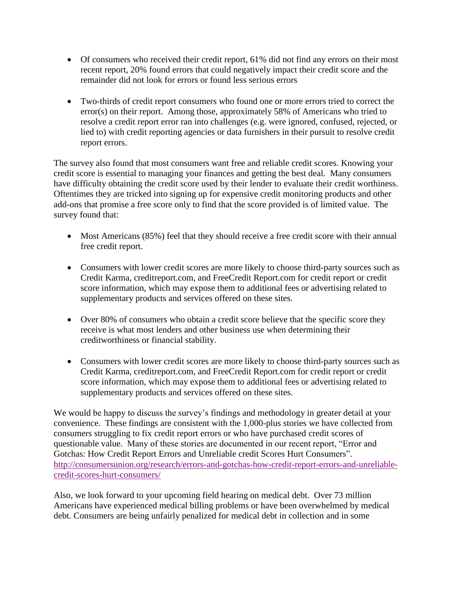- Of consumers who received their credit report, 61% did not find any errors on their most recent report, 20% found errors that could negatively impact their credit score and the remainder did not look for errors or found less serious errors
- Two-thirds of credit report consumers who found one or more errors tried to correct the error(s) on their report. Among those, approximately 58% of Americans who tried to resolve a credit report error ran into challenges (e.g. were ignored, confused, rejected, or lied to) with credit reporting agencies or data furnishers in their pursuit to resolve credit report errors.

The survey also found that most consumers want free and reliable credit scores. Knowing your credit score is essential to managing your finances and getting the best deal. Many consumers have difficulty obtaining the credit score used by their lender to evaluate their credit worthiness. Oftentimes they are tricked into signing up for expensive credit monitoring products and other add-ons that promise a free score only to find that the score provided is of limited value. The survey found that:

- Most Americans (85%) feel that they should receive a free credit score with their annual free credit report.
- Consumers with lower credit scores are more likely to choose third-party sources such as Credit Karma, creditreport.com, and FreeCredit Report.com for credit report or credit score information, which may expose them to additional fees or advertising related to supplementary products and services offered on these sites.
- Over 80% of consumers who obtain a credit score believe that the specific score they receive is what most lenders and other business use when determining their creditworthiness or financial stability.
- Consumers with lower credit scores are more likely to choose third-party sources such as Credit Karma, creditreport.com, and FreeCredit Report.com for credit report or credit score information, which may expose them to additional fees or advertising related to supplementary products and services offered on these sites.

We would be happy to discuss the survey's findings and methodology in greater detail at your convenience. These findings are consistent with the 1,000-plus stories we have collected from consumers struggling to fix credit report errors or who have purchased credit scores of questionable value. Many of these stories are documented in our recent report, "Error and Gotchas: How Credit Report Errors and Unreliable credit Scores Hurt Consumers". [http://consumersunion.org/research/errors-and-gotchas-how-credit-report-errors-and-unreliable](http://consumersunion.org/research/errors-and-gotchas-how-credit-report-errors-and-unreliable-credit-scores-hurt-consumers/)[credit-scores-hurt-consumers/](http://consumersunion.org/research/errors-and-gotchas-how-credit-report-errors-and-unreliable-credit-scores-hurt-consumers/)

Also, we look forward to your upcoming field hearing on medical debt. Over 73 million Americans have experienced medical billing problems or have been overwhelmed by medical debt. Consumers are being unfairly penalized for medical debt in collection and in some